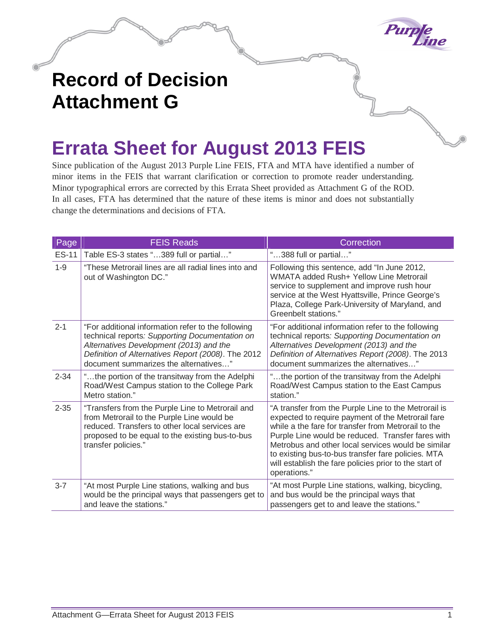

## **Record of Decision Attachment G**



## **Errata Sheet for August 2013 FEIS**

Since publication of the August 2013 Purple Line FEIS, FTA and MTA have identified a number of minor items in the FEIS that warrant clarification or correction to promote reader understanding. Minor typographical errors are corrected by this Errata Sheet provided as Attachment G of the ROD. In all cases, FTA has determined that the nature of these items is minor and does not substantially change the determinations and decisions of FTA.

| Page         | <b>FEIS Reads</b>                                                                                                                                                                                                                              | <b>Correction</b>                                                                                                                                                                                                                                                                                                                                                                                           |
|--------------|------------------------------------------------------------------------------------------------------------------------------------------------------------------------------------------------------------------------------------------------|-------------------------------------------------------------------------------------------------------------------------------------------------------------------------------------------------------------------------------------------------------------------------------------------------------------------------------------------------------------------------------------------------------------|
| <b>ES-11</b> | Table ES-3 states "389 full or partial"                                                                                                                                                                                                        | "388 full or partial"                                                                                                                                                                                                                                                                                                                                                                                       |
| $1 - 9$      | "These Metrorail lines are all radial lines into and<br>out of Washington DC."                                                                                                                                                                 | Following this sentence, add "In June 2012,<br>WMATA added Rush+ Yellow Line Metrorail<br>service to supplement and improve rush hour<br>service at the West Hyattsville, Prince George's<br>Plaza, College Park-University of Maryland, and<br>Greenbelt stations."                                                                                                                                        |
| $2 - 1$      | "For additional information refer to the following<br>technical reports: Supporting Documentation on<br>Alternatives Development (2013) and the<br>Definition of Alternatives Report (2008). The 2012<br>document summarizes the alternatives" | "For additional information refer to the following<br>technical reports: Supporting Documentation on<br>Alternatives Development (2013) and the<br>Definition of Alternatives Report (2008). The 2013<br>document summarizes the alternatives"                                                                                                                                                              |
| $2 - 34$     | "the portion of the transitway from the Adelphi<br>Road/West Campus station to the College Park<br>Metro station."                                                                                                                             | "the portion of the transitway from the Adelphi<br>Road/West Campus station to the East Campus<br>station."                                                                                                                                                                                                                                                                                                 |
| $2 - 35$     | "Transfers from the Purple Line to Metrorail and<br>from Metrorail to the Purple Line would be<br>reduced. Transfers to other local services are<br>proposed to be equal to the existing bus-to-bus<br>transfer policies."                     | "A transfer from the Purple Line to the Metrorail is<br>expected to require payment of the Metrorail fare<br>while a the fare for transfer from Metrorail to the<br>Purple Line would be reduced. Transfer fares with<br>Metrobus and other local services would be similar<br>to existing bus-to-bus transfer fare policies. MTA<br>will establish the fare policies prior to the start of<br>operations." |
| $3 - 7$      | "At most Purple Line stations, walking and bus<br>would be the principal ways that passengers get to<br>and leave the stations."                                                                                                               | "At most Purple Line stations, walking, bicycling,<br>and bus would be the principal ways that<br>passengers get to and leave the stations."                                                                                                                                                                                                                                                                |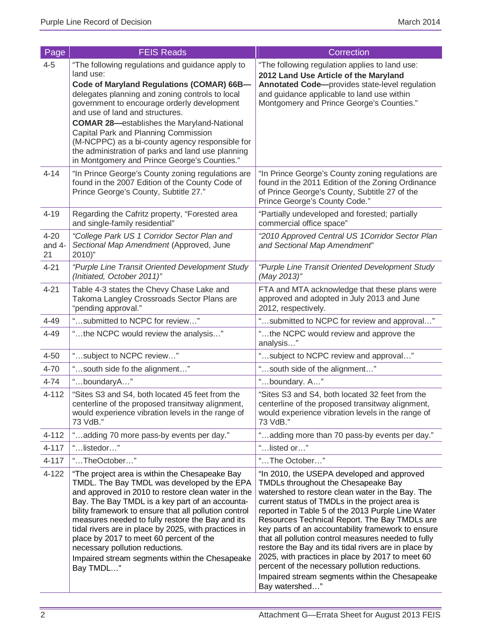| Page                     | <b>FEIS Reads</b>                                                                                                                                                                                                                                                                                                                                                                                                                                                                                                        | Correction                                                                                                                                                                                                                                                                                                                                                                                                                                                                                                                                                                                                                                   |
|--------------------------|--------------------------------------------------------------------------------------------------------------------------------------------------------------------------------------------------------------------------------------------------------------------------------------------------------------------------------------------------------------------------------------------------------------------------------------------------------------------------------------------------------------------------|----------------------------------------------------------------------------------------------------------------------------------------------------------------------------------------------------------------------------------------------------------------------------------------------------------------------------------------------------------------------------------------------------------------------------------------------------------------------------------------------------------------------------------------------------------------------------------------------------------------------------------------------|
| $4 - 5$                  | "The following regulations and guidance apply to                                                                                                                                                                                                                                                                                                                                                                                                                                                                         | "The following regulation applies to land use:                                                                                                                                                                                                                                                                                                                                                                                                                                                                                                                                                                                               |
|                          | land use:<br>Code of Maryland Regulations (COMAR) 66B-<br>delegates planning and zoning controls to local<br>government to encourage orderly development<br>and use of land and structures.<br><b>COMAR 28-establishes the Maryland-National</b><br>Capital Park and Planning Commission                                                                                                                                                                                                                                 | 2012 Land Use Article of the Maryland<br>Annotated Code-provides state-level regulation<br>and guidance applicable to land use within<br>Montgomery and Prince George's Counties."                                                                                                                                                                                                                                                                                                                                                                                                                                                           |
|                          | (M-NCPPC) as a bi-county agency responsible for<br>the administration of parks and land use planning<br>in Montgomery and Prince George's Counties."                                                                                                                                                                                                                                                                                                                                                                     |                                                                                                                                                                                                                                                                                                                                                                                                                                                                                                                                                                                                                                              |
| $4 - 14$                 | "In Prince George's County zoning regulations are<br>found in the 2007 Edition of the County Code of<br>Prince George's County, Subtitle 27."                                                                                                                                                                                                                                                                                                                                                                            | "In Prince George's County zoning regulations are<br>found in the 2011 Edition of the Zoning Ordinance<br>of Prince George's County, Subtitle 27 of the<br>Prince George's County Code."                                                                                                                                                                                                                                                                                                                                                                                                                                                     |
| $4 - 19$                 | Regarding the Cafritz property, "Forested area<br>and single-family residential"                                                                                                                                                                                                                                                                                                                                                                                                                                         | "Partially undeveloped and forested; partially<br>commercial office space"                                                                                                                                                                                                                                                                                                                                                                                                                                                                                                                                                                   |
| $4 - 20$<br>and 4-<br>21 | "College Park US 1 Corridor Sector Plan and<br>Sectional Map Amendment (Approved, June<br>2010)"                                                                                                                                                                                                                                                                                                                                                                                                                         | "2010 Approved Central US 1 Corridor Sector Plan<br>and Sectional Map Amendment"                                                                                                                                                                                                                                                                                                                                                                                                                                                                                                                                                             |
| $4 - 21$                 | "Purple Line Transit Oriented Development Study<br>(Initiated, October 2011)"                                                                                                                                                                                                                                                                                                                                                                                                                                            | "Purple Line Transit Oriented Development Study<br>(May 2013)"                                                                                                                                                                                                                                                                                                                                                                                                                                                                                                                                                                               |
| $4 - 21$                 | Table 4-3 states the Chevy Chase Lake and<br>Takoma Langley Crossroads Sector Plans are<br>"pending approval."                                                                                                                                                                                                                                                                                                                                                                                                           | FTA and MTA acknowledge that these plans were<br>approved and adopted in July 2013 and June<br>2012, respectively.                                                                                                                                                                                                                                                                                                                                                                                                                                                                                                                           |
| 4-49                     | "submitted to NCPC for review"                                                                                                                                                                                                                                                                                                                                                                                                                                                                                           | "submitted to NCPC for review and approval"                                                                                                                                                                                                                                                                                                                                                                                                                                                                                                                                                                                                  |
| $4 - 49$                 | "the NCPC would review the analysis"                                                                                                                                                                                                                                                                                                                                                                                                                                                                                     | "the NCPC would review and approve the<br>analysis"                                                                                                                                                                                                                                                                                                                                                                                                                                                                                                                                                                                          |
| $4 - 50$                 | "subject to NCPC review"                                                                                                                                                                                                                                                                                                                                                                                                                                                                                                 | "subject to NCPC review and approval"                                                                                                                                                                                                                                                                                                                                                                                                                                                                                                                                                                                                        |
| 4-70                     | "south side fo the alignment"                                                                                                                                                                                                                                                                                                                                                                                                                                                                                            | "south side of the alignment"                                                                                                                                                                                                                                                                                                                                                                                                                                                                                                                                                                                                                |
| $4 - 74$                 | "boundaryA"                                                                                                                                                                                                                                                                                                                                                                                                                                                                                                              | "boundary. A"                                                                                                                                                                                                                                                                                                                                                                                                                                                                                                                                                                                                                                |
| $4 - 112$                | "Sites S3 and S4, both located 45 feet from the<br>centerline of the proposed transitway alignment,<br>would experience vibration levels in the range of<br>73 VdB."                                                                                                                                                                                                                                                                                                                                                     | "Sites S3 and S4, both located 32 feet from the<br>centerline of the proposed transitway alignment,<br>would experience vibration levels in the range of<br>73 VdB."                                                                                                                                                                                                                                                                                                                                                                                                                                                                         |
| 4-112                    | "adding 70 more pass-by events per day."                                                                                                                                                                                                                                                                                                                                                                                                                                                                                 | "adding more than 70 pass-by events per day."                                                                                                                                                                                                                                                                                                                                                                                                                                                                                                                                                                                                |
| $4 - 117$                | "listedor"                                                                                                                                                                                                                                                                                                                                                                                                                                                                                                               | "listed or"                                                                                                                                                                                                                                                                                                                                                                                                                                                                                                                                                                                                                                  |
| 4-117                    | "TheOctober"                                                                                                                                                                                                                                                                                                                                                                                                                                                                                                             | "The October"                                                                                                                                                                                                                                                                                                                                                                                                                                                                                                                                                                                                                                |
| 4-122                    | "The project area is within the Chesapeake Bay<br>TMDL. The Bay TMDL was developed by the EPA<br>and approved in 2010 to restore clean water in the<br>Bay. The Bay TMDL is a key part of an accounta-<br>bility framework to ensure that all pollution control<br>measures needed to fully restore the Bay and its<br>tidal rivers are in place by 2025, with practices in<br>place by 2017 to meet 60 percent of the<br>necessary pollution reductions.<br>Impaired stream segments within the Chesapeake<br>Bay TMDL" | "In 2010, the USEPA developed and approved<br>TMDLs throughout the Chesapeake Bay<br>watershed to restore clean water in the Bay. The<br>current status of TMDLs in the project area is<br>reported in Table 5 of the 2013 Purple Line Water<br>Resources Technical Report. The Bay TMDLs are<br>key parts of an accountability framework to ensure<br>that all pollution control measures needed to fully<br>restore the Bay and its tidal rivers are in place by<br>2025, with practices in place by 2017 to meet 60<br>percent of the necessary pollution reductions.<br>Impaired stream segments within the Chesapeake<br>Bay watershed" |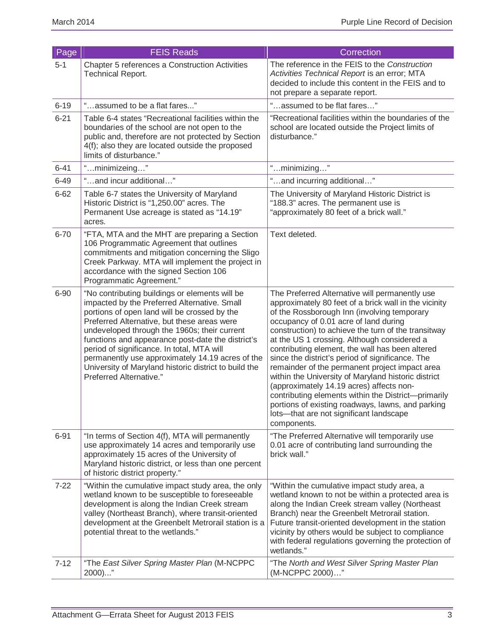| Page     | <b>FEIS Reads</b>                                                                                                                                                                                                                                                                                                                                                                                                                                                                        | Correction                                                                                                                                                                                                                                                                                                                                                                                                                                                                                                                                                                                                                                                                                                                              |
|----------|------------------------------------------------------------------------------------------------------------------------------------------------------------------------------------------------------------------------------------------------------------------------------------------------------------------------------------------------------------------------------------------------------------------------------------------------------------------------------------------|-----------------------------------------------------------------------------------------------------------------------------------------------------------------------------------------------------------------------------------------------------------------------------------------------------------------------------------------------------------------------------------------------------------------------------------------------------------------------------------------------------------------------------------------------------------------------------------------------------------------------------------------------------------------------------------------------------------------------------------------|
| $5-1$    | Chapter 5 references a Construction Activities<br><b>Technical Report.</b>                                                                                                                                                                                                                                                                                                                                                                                                               | The reference in the FEIS to the Construction<br>Activities Technical Report is an error; MTA<br>decided to include this content in the FEIS and to<br>not prepare a separate report.                                                                                                                                                                                                                                                                                                                                                                                                                                                                                                                                                   |
| $6 - 19$ | "assumed to be a flat fares"                                                                                                                                                                                                                                                                                                                                                                                                                                                             | "assumed to be flat fares"                                                                                                                                                                                                                                                                                                                                                                                                                                                                                                                                                                                                                                                                                                              |
| $6 - 21$ | Table 6-4 states "Recreational facilities within the<br>boundaries of the school are not open to the<br>public and, therefore are not protected by Section<br>4(f); also they are located outside the proposed<br>limits of disturbance."                                                                                                                                                                                                                                                | "Recreational facilities within the boundaries of the<br>school are located outside the Project limits of<br>disturbance."                                                                                                                                                                                                                                                                                                                                                                                                                                                                                                                                                                                                              |
| $6 - 41$ | "minimizeing"                                                                                                                                                                                                                                                                                                                                                                                                                                                                            | "minimizing"                                                                                                                                                                                                                                                                                                                                                                                                                                                                                                                                                                                                                                                                                                                            |
| $6 - 49$ | "and incur additional"                                                                                                                                                                                                                                                                                                                                                                                                                                                                   | "and incurring additional"                                                                                                                                                                                                                                                                                                                                                                                                                                                                                                                                                                                                                                                                                                              |
| $6 - 62$ | Table 6-7 states the University of Maryland<br>Historic District is "1,250.00" acres. The<br>Permanent Use acreage is stated as "14.19"<br>acres.                                                                                                                                                                                                                                                                                                                                        | The University of Maryland Historic District is<br>"188.3" acres. The permanent use is<br>"approximately 80 feet of a brick wall."                                                                                                                                                                                                                                                                                                                                                                                                                                                                                                                                                                                                      |
| $6 - 70$ | "FTA, MTA and the MHT are preparing a Section<br>106 Programmatic Agreement that outlines<br>commitments and mitigation concerning the Sligo<br>Creek Parkway. MTA will implement the project in<br>accordance with the signed Section 106<br>Programmatic Agreement."                                                                                                                                                                                                                   | Text deleted.                                                                                                                                                                                                                                                                                                                                                                                                                                                                                                                                                                                                                                                                                                                           |
| $6 - 90$ | "No contributing buildings or elements will be<br>impacted by the Preferred Alternative. Small<br>portions of open land will be crossed by the<br>Preferred Alternative, but these areas were<br>undeveloped through the 1960s; their current<br>functions and appearance post-date the district's<br>period of significance. In total, MTA will<br>permanently use approximately 14.19 acres of the<br>University of Maryland historic district to build the<br>Preferred Alternative." | The Preferred Alternative will permanently use<br>approximately 80 feet of a brick wall in the vicinity<br>of the Rossborough Inn (involving temporary<br>occupancy of 0.01 acre of land during<br>construction) to achieve the turn of the transitway<br>at the US 1 crossing. Although considered a<br>contributing element, the wall has been altered<br>since the district's period of significance. The<br>remainder of the permanent project impact area<br>within the University of Maryland historic district<br>(approximately 14.19 acres) affects non-<br>contributing elements within the District-primarily<br>portions of existing roadways, lawns, and parking<br>lots-that are not significant landscape<br>components. |
| $6 - 91$ | "In terms of Section 4(f), MTA will permanently<br>use approximately 14 acres and temporarily use<br>approximately 15 acres of the University of<br>Maryland historic district, or less than one percent<br>of historic district property."                                                                                                                                                                                                                                              | "The Preferred Alternative will temporarily use<br>0.01 acre of contributing land surrounding the<br>brick wall."                                                                                                                                                                                                                                                                                                                                                                                                                                                                                                                                                                                                                       |
| $7 - 22$ | "Within the cumulative impact study area, the only<br>wetland known to be susceptible to foreseeable<br>development is along the Indian Creek stream<br>valley (Northeast Branch), where transit-oriented<br>development at the Greenbelt Metrorail station is a<br>potential threat to the wetlands."                                                                                                                                                                                   | "Within the cumulative impact study area, a<br>wetland known to not be within a protected area is<br>along the Indian Creek stream valley (Northeast<br>Branch) near the Greenbelt Metrorail station.<br>Future transit-oriented development in the station<br>vicinity by others would be subject to compliance<br>with federal regulations governing the protection of<br>wetlands."                                                                                                                                                                                                                                                                                                                                                  |
| $7 - 12$ | "The East Silver Spring Master Plan (M-NCPPC<br>$2000)$ "                                                                                                                                                                                                                                                                                                                                                                                                                                | "The North and West Silver Spring Master Plan<br>(M-NCPPC 2000)"                                                                                                                                                                                                                                                                                                                                                                                                                                                                                                                                                                                                                                                                        |